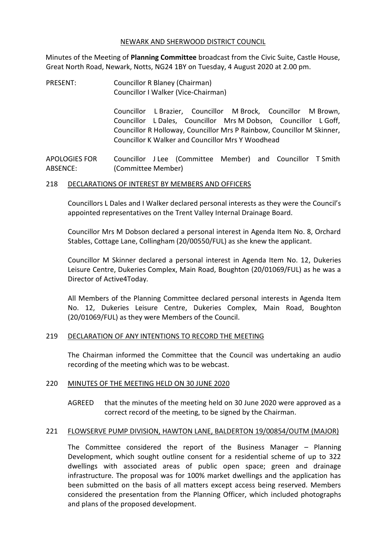#### NEWARK AND SHERWOOD DISTRICT COUNCIL

Minutes of the Meeting of **Planning Committee** broadcast from the Civic Suite, Castle House, Great North Road, Newark, Notts, NG24 1BY on Tuesday, 4 August 2020 at 2.00 pm.

PRESENT: Councillor R Blaney (Chairman) Councillor I Walker (Vice-Chairman)

> Councillor L Brazier, Councillor M Brock, Councillor M Brown, Councillor L Dales, Councillor Mrs M Dobson, Councillor L Goff, Councillor R Holloway, Councillor Mrs P Rainbow, Councillor M Skinner, Councillor K Walker and Councillor Mrs Y Woodhead

APOLOGIES FOR ABSENCE: Councillor J Lee (Committee Member) and Councillor T Smith (Committee Member)

### 218 DECLARATIONS OF INTEREST BY MEMBERS AND OFFICERS

Councillors L Dales and I Walker declared personal interests as they were the Council's appointed representatives on the Trent Valley Internal Drainage Board.

Councillor Mrs M Dobson declared a personal interest in Agenda Item No. 8, Orchard Stables, Cottage Lane, Collingham (20/00550/FUL) as she knew the applicant.

Councillor M Skinner declared a personal interest in Agenda Item No. 12, Dukeries Leisure Centre, Dukeries Complex, Main Road, Boughton (20/01069/FUL) as he was a Director of Active4Today.

All Members of the Planning Committee declared personal interests in Agenda Item No. 12, Dukeries Leisure Centre, Dukeries Complex, Main Road, Boughton (20/01069/FUL) as they were Members of the Council.

#### 219 DECLARATION OF ANY INTENTIONS TO RECORD THE MEETING

The Chairman informed the Committee that the Council was undertaking an audio recording of the meeting which was to be webcast.

### 220 MINUTES OF THE MEETING HELD ON 30 JUNE 2020

AGREED that the minutes of the meeting held on 30 June 2020 were approved as a correct record of the meeting, to be signed by the Chairman.

### 221 FLOWSERVE PUMP DIVISION, HAWTON LANE, BALDERTON 19/00854/OUTM (MAJOR)

The Committee considered the report of the Business Manager – Planning Development, which sought outline consent for a residential scheme of up to 322 dwellings with associated areas of public open space; green and drainage infrastructure. The proposal was for 100% market dwellings and the application has been submitted on the basis of all matters except access being reserved. Members considered the presentation from the Planning Officer, which included photographs and plans of the proposed development.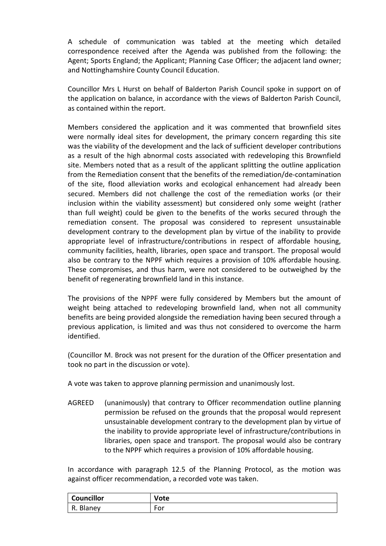A schedule of communication was tabled at the meeting which detailed correspondence received after the Agenda was published from the following: the Agent; Sports England; the Applicant; Planning Case Officer; the adjacent land owner; and Nottinghamshire County Council Education.

Councillor Mrs L Hurst on behalf of Balderton Parish Council spoke in support on of the application on balance, in accordance with the views of Balderton Parish Council, as contained within the report.

Members considered the application and it was commented that brownfield sites were normally ideal sites for development, the primary concern regarding this site was the viability of the development and the lack of sufficient developer contributions as a result of the high abnormal costs associated with redeveloping this Brownfield site. Members noted that as a result of the applicant splitting the outline application from the Remediation consent that the benefits of the remediation/de-contamination of the site, flood alleviation works and ecological enhancement had already been secured. Members did not challenge the cost of the remediation works (or their inclusion within the viability assessment) but considered only some weight (rather than full weight) could be given to the benefits of the works secured through the remediation consent. The proposal was considered to represent unsustainable development contrary to the development plan by virtue of the inability to provide appropriate level of infrastructure/contributions in respect of affordable housing, community facilities, health, libraries, open space and transport. The proposal would also be contrary to the NPPF which requires a provision of 10% affordable housing. These compromises, and thus harm, were not considered to be outweighed by the benefit of regenerating brownfield land in this instance.

The provisions of the NPPF were fully considered by Members but the amount of weight being attached to redeveloping brownfield land, when not all community benefits are being provided alongside the remediation having been secured through a previous application, is limited and was thus not considered to overcome the harm identified.

(Councillor M. Brock was not present for the duration of the Officer presentation and took no part in the discussion or vote).

A vote was taken to approve planning permission and unanimously lost.

AGREED (unanimously) that contrary to Officer recommendation outline planning permission be refused on the grounds that the proposal would represent unsustainable development contrary to the development plan by virtue of the inability to provide appropriate level of infrastructure/contributions in libraries, open space and transport. The proposal would also be contrary to the NPPF which requires a provision of 10% affordable housing.

In accordance with paragraph 12.5 of the Planning Protocol, as the motion was against officer recommendation, a recorded vote was taken.

| <b>Councillor</b> | Vote |
|-------------------|------|
| l D<br>R. Blaney  | For  |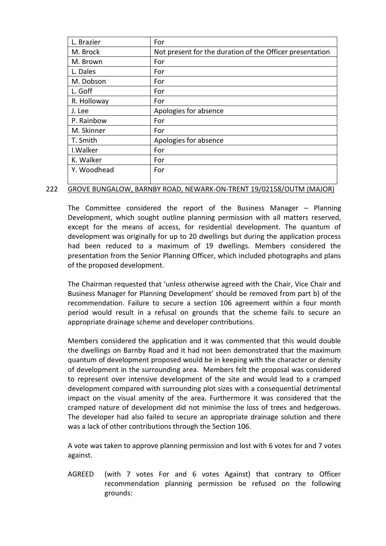| L. Brazier  | For                                                      |
|-------------|----------------------------------------------------------|
| M. Brock    | Not present for the duration of the Officer presentation |
| M. Brown    | For                                                      |
| L. Dales    | For                                                      |
| M. Dobson   | For                                                      |
| L. Goff     | For                                                      |
| R. Holloway | For                                                      |
| J. Lee      | Apologies for absence                                    |
| P. Rainbow  | For                                                      |
| M. Skinner  | For                                                      |
| T. Smith    | Apologies for absence                                    |
| I. Walker   | For                                                      |
| K. Walker   | For                                                      |
| Y. Woodhead | For                                                      |
|             |                                                          |

#### 222 GROVE BUNGALOW, BARNBY ROAD, NEWARK-ON-TRENT 19/02158/OUTM (MAJOR)

The Committee considered the report of the Business Manager – Planning Development, which sought outline planning permission with all matters reserved, except for the means of access, for residential development. The quantum of development was originally for up to 20 dwellings but during the application process had been reduced to a maximum of 19 dwellings. Members considered the presentation from the Senior Planning Officer, which included photographs and plans of the proposed development.

The Chairman requested that 'unless otherwise agreed with the Chair, Vice Chair and Business Manager for Planning Development' should be removed from part b) of the recommendation. Failure to secure a section 106 agreement within a four month period would result in a refusal on grounds that the scheme fails to secure an appropriate drainage scheme and developer contributions.

Members considered the application and it was commented that this would double the dwellings on Barnby Road and it had not been demonstrated that the maximum quantum of development proposed would be in keeping with the character or density of development in the surrounding area. Members felt the proposal was considered to represent over intensive development of the site and would lead to a cramped development compared with surrounding plot sizes with a consequential detrimental impact on the visual amenity of the area. Furthermore it was considered that the cramped nature of development did not minimise the loss of trees and hedgerows. The developer had also failed to secure an appropriate drainage solution and there was a lack of other contributions through the Section 106.

A vote was taken to approve planning permission and lost with 6 votes for and 7 votes against.

AGREED (with 7 votes For and 6 votes Against) that contrary to Officer recommendation planning permission be refused on the following grounds: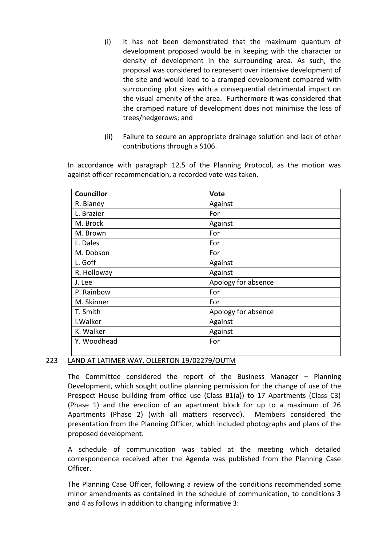- (i) It has not been demonstrated that the maximum quantum of development proposed would be in keeping with the character or density of development in the surrounding area. As such, the proposal was considered to represent over intensive development of the site and would lead to a cramped development compared with surrounding plot sizes with a consequential detrimental impact on the visual amenity of the area. Furthermore it was considered that the cramped nature of development does not minimise the loss of trees/hedgerows; and
- (ii) Failure to secure an appropriate drainage solution and lack of other contributions through a S106.

In accordance with paragraph 12.5 of the Planning Protocol, as the motion was against officer recommendation, a recorded vote was taken.

| <b>Councillor</b> | <b>Vote</b>         |
|-------------------|---------------------|
| R. Blaney         | Against             |
| L. Brazier        | For                 |
| M. Brock          | Against             |
| M. Brown          | For                 |
| L. Dales          | For                 |
| M. Dobson         | For                 |
| L. Goff           | Against             |
| R. Holloway       | Against             |
| J. Lee            | Apology for absence |
| P. Rainbow        | For                 |
| M. Skinner        | For                 |
| T. Smith          | Apology for absence |
| I. Walker         | Against             |
| K. Walker         | Against             |
| Y. Woodhead       | For                 |

### 223 LAND AT LATIMER WAY, OLLERTON 19/02279/OUTM

The Committee considered the report of the Business Manager – Planning Development, which sought outline planning permission for the change of use of the Prospect House building from office use (Class B1(a)) to 17 Apartments (Class C3) (Phase 1) and the erection of an apartment block for up to a maximum of 26 Apartments (Phase 2) (with all matters reserved). Members considered the presentation from the Planning Officer, which included photographs and plans of the proposed development.

A schedule of communication was tabled at the meeting which detailed correspondence received after the Agenda was published from the Planning Case Officer.

The Planning Case Officer, following a review of the conditions recommended some minor amendments as contained in the schedule of communication, to conditions 3 and 4 as follows in addition to changing informative 3: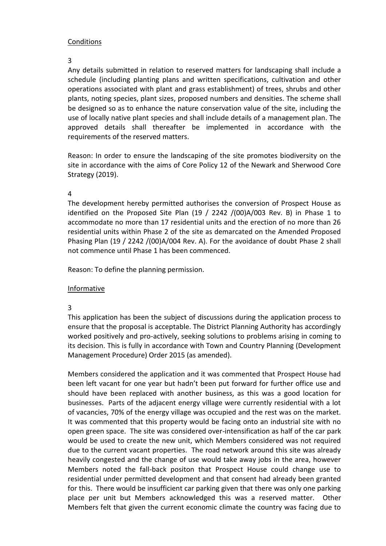### Conditions

3

Any details submitted in relation to reserved matters for landscaping shall include a schedule (including planting plans and written specifications, cultivation and other operations associated with plant and grass establishment) of trees, shrubs and other plants, noting species, plant sizes, proposed numbers and densities. The scheme shall be designed so as to enhance the nature conservation value of the site, including the use of locally native plant species and shall include details of a management plan. The approved details shall thereafter be implemented in accordance with the requirements of the reserved matters.

Reason: In order to ensure the landscaping of the site promotes biodiversity on the site in accordance with the aims of Core Policy 12 of the Newark and Sherwood Core Strategy (2019).

4

The development hereby permitted authorises the conversion of Prospect House as identified on the Proposed Site Plan  $(19 / 2242 / (00)A/003$  Rev. B) in Phase 1 to accommodate no more than 17 residential units and the erection of no more than 26 residential units within Phase 2 of the site as demarcated on the Amended Proposed Phasing Plan (19 / 2242 /(00)A/004 Rev. A). For the avoidance of doubt Phase 2 shall not commence until Phase 1 has been commenced.

Reason: To define the planning permission.

## Informative

3

This application has been the subject of discussions during the application process to ensure that the proposal is acceptable. The District Planning Authority has accordingly worked positively and pro-actively, seeking solutions to problems arising in coming to its decision. This is fully in accordance with Town and Country Planning (Development Management Procedure) Order 2015 (as amended).

Members considered the application and it was commented that Prospect House had been left vacant for one year but hadn't been put forward for further office use and should have been replaced with another business, as this was a good location for businesses. Parts of the adjacent energy village were currently residential with a lot of vacancies, 70% of the energy village was occupied and the rest was on the market. It was commented that this property would be facing onto an industrial site with no open green space. The site was considered over-intensification as half of the car park would be used to create the new unit, which Members considered was not required due to the current vacant properties. The road network around this site was already heavily congested and the change of use would take away jobs in the area, however Members noted the fall-back positon that Prospect House could change use to residential under permitted development and that consent had already been granted for this. There would be insufficient car parking given that there was only one parking place per unit but Members acknowledged this was a reserved matter. Other Members felt that given the current economic climate the country was facing due to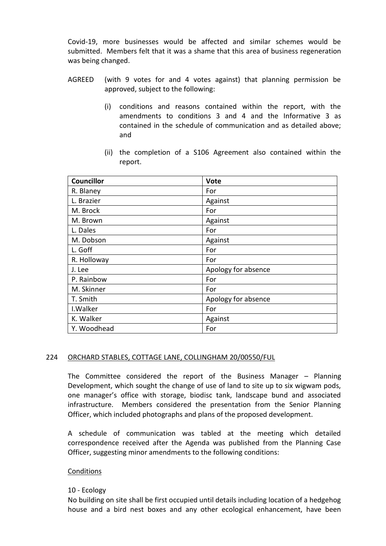Covid-19, more businesses would be affected and similar schemes would be submitted. Members felt that it was a shame that this area of business regeneration was being changed.

- AGREED (with 9 votes for and 4 votes against) that planning permission be approved, subject to the following:
	- (i) conditions and reasons contained within the report, with the amendments to conditions 3 and 4 and the Informative 3 as contained in the schedule of communication and as detailed above; and
	- (ii) the completion of a S106 Agreement also contained within the report.

| <b>Councillor</b> | <b>Vote</b>         |
|-------------------|---------------------|
| R. Blaney         | For                 |
| L. Brazier        | Against             |
| M. Brock          | For                 |
| M. Brown          | Against             |
| L. Dales          | For                 |
| M. Dobson         | Against             |
| L. Goff           | For                 |
| R. Holloway       | For                 |
| J. Lee            | Apology for absence |
| P. Rainbow        | For                 |
| M. Skinner        | For                 |
| T. Smith          | Apology for absence |
| I. Walker         | For                 |
| K. Walker         | Against             |
| Y. Woodhead       | For                 |

### 224 ORCHARD STABLES, COTTAGE LANE, COLLINGHAM 20/00550/FUL

The Committee considered the report of the Business Manager – Planning Development, which sought the change of use of land to site up to six wigwam pods, one manager's office with storage, biodisc tank, landscape bund and associated infrastructure. Members considered the presentation from the Senior Planning Officer, which included photographs and plans of the proposed development.

A schedule of communication was tabled at the meeting which detailed correspondence received after the Agenda was published from the Planning Case Officer, suggesting minor amendments to the following conditions:

### **Conditions**

### 10 - Ecology

No building on site shall be first occupied until details including location of a hedgehog house and a bird nest boxes and any other ecological enhancement, have been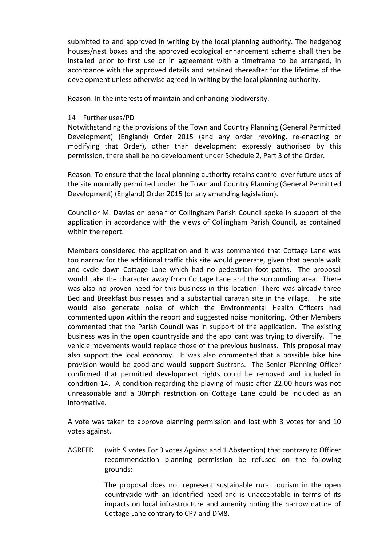submitted to and approved in writing by the local planning authority. The hedgehog houses/nest boxes and the approved ecological enhancement scheme shall then be installed prior to first use or in agreement with a timeframe to be arranged, in accordance with the approved details and retained thereafter for the lifetime of the development unless otherwise agreed in writing by the local planning authority.

Reason: In the interests of maintain and enhancing biodiversity.

#### 14 – Further uses/PD

Notwithstanding the provisions of the Town and Country Planning (General Permitted Development) (England) Order 2015 (and any order revoking, re-enacting or modifying that Order), other than development expressly authorised by this permission, there shall be no development under Schedule 2, Part 3 of the Order.

Reason: To ensure that the local planning authority retains control over future uses of the site normally permitted under the Town and Country Planning (General Permitted Development) (England) Order 2015 (or any amending legislation).

Councillor M. Davies on behalf of Collingham Parish Council spoke in support of the application in accordance with the views of Collingham Parish Council, as contained within the report.

Members considered the application and it was commented that Cottage Lane was too narrow for the additional traffic this site would generate, given that people walk and cycle down Cottage Lane which had no pedestrian foot paths. The proposal would take the character away from Cottage Lane and the surrounding area. There was also no proven need for this business in this location. There was already three Bed and Breakfast businesses and a substantial caravan site in the village. The site would also generate noise of which the Environmental Health Officers had commented upon within the report and suggested noise monitoring. Other Members commented that the Parish Council was in support of the application. The existing business was in the open countryside and the applicant was trying to diversify. The vehicle movements would replace those of the previous business. This proposal may also support the local economy. It was also commented that a possible bike hire provision would be good and would support Sustrans. The Senior Planning Officer confirmed that permitted development rights could be removed and included in condition 14. A condition regarding the playing of music after 22:00 hours was not unreasonable and a 30mph restriction on Cottage Lane could be included as an informative.

A vote was taken to approve planning permission and lost with 3 votes for and 10 votes against.

AGREED (with 9 votes For 3 votes Against and 1 Abstention) that contrary to Officer recommendation planning permission be refused on the following grounds:

> The proposal does not represent sustainable rural tourism in the open countryside with an identified need and is unacceptable in terms of its impacts on local infrastructure and amenity noting the narrow nature of Cottage Lane contrary to CP7 and DM8.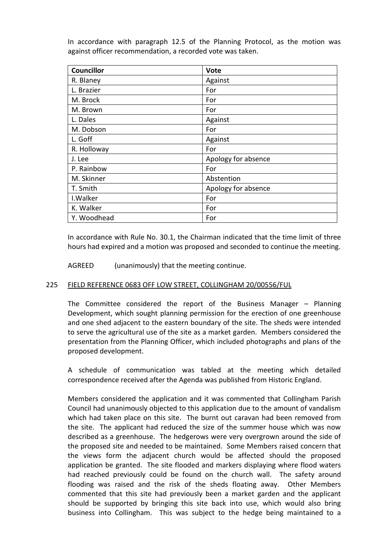In accordance with paragraph 12.5 of the Planning Protocol, as the motion was against officer recommendation, a recorded vote was taken.

| <b>Councillor</b> | <b>Vote</b>         |
|-------------------|---------------------|
| R. Blaney         | Against             |
| L. Brazier        | For                 |
| M. Brock          | For                 |
| M. Brown          | For                 |
| L. Dales          | Against             |
| M. Dobson         | For                 |
| L. Goff           | Against             |
| R. Holloway       | For                 |
| J. Lee            | Apology for absence |
| P. Rainbow        | For                 |
| M. Skinner        | Abstention          |
| T. Smith          | Apology for absence |
| I. Walker         | For                 |
| K. Walker         | For                 |
| Y. Woodhead       | For                 |

In accordance with Rule No. 30.1, the Chairman indicated that the time limit of three hours had expired and a motion was proposed and seconded to continue the meeting.

AGREED (unanimously) that the meeting continue.

### 225 FIELD REFERENCE 0683 OFF LOW STREET, COLLINGHAM 20/00556/FUL

The Committee considered the report of the Business Manager – Planning Development, which sought planning permission for the erection of one greenhouse and one shed adjacent to the eastern boundary of the site. The sheds were intended to serve the agricultural use of the site as a market garden. Members considered the presentation from the Planning Officer, which included photographs and plans of the proposed development.

A schedule of communication was tabled at the meeting which detailed correspondence received after the Agenda was published from Historic England.

Members considered the application and it was commented that Collingham Parish Council had unanimously objected to this application due to the amount of vandalism which had taken place on this site. The burnt out caravan had been removed from the site. The applicant had reduced the size of the summer house which was now described as a greenhouse. The hedgerows were very overgrown around the side of the proposed site and needed to be maintained. Some Members raised concern that the views form the adjacent church would be affected should the proposed application be granted. The site flooded and markers displaying where flood waters had reached previously could be found on the church wall. The safety around flooding was raised and the risk of the sheds floating away. Other Members commented that this site had previously been a market garden and the applicant should be supported by bringing this site back into use, which would also bring business into Collingham. This was subject to the hedge being maintained to a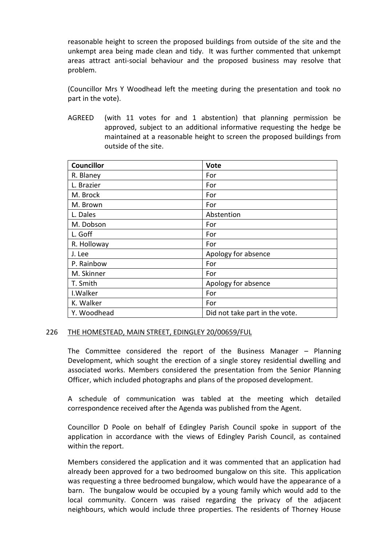reasonable height to screen the proposed buildings from outside of the site and the unkempt area being made clean and tidy. It was further commented that unkempt areas attract anti-social behaviour and the proposed business may resolve that problem.

(Councillor Mrs Y Woodhead left the meeting during the presentation and took no part in the vote).

AGREED (with 11 votes for and 1 abstention) that planning permission be approved, subject to an additional informative requesting the hedge be maintained at a reasonable height to screen the proposed buildings from outside of the site.

| <b>Councillor</b> | <b>Vote</b>                    |
|-------------------|--------------------------------|
| R. Blaney         | For                            |
| L. Brazier        | For                            |
| M. Brock          | For                            |
| M. Brown          | For                            |
| L. Dales          | Abstention                     |
| M. Dobson         | For                            |
| L. Goff           | For                            |
| R. Holloway       | For                            |
| J. Lee            | Apology for absence            |
| P. Rainbow        | For                            |
| M. Skinner        | For                            |
| T. Smith          | Apology for absence            |
| I. Walker         | For                            |
| K. Walker         | For                            |
| Y. Woodhead       | Did not take part in the vote. |

### 226 THE HOMESTEAD, MAIN STREET, EDINGLEY 20/00659/FUL

The Committee considered the report of the Business Manager – Planning Development, which sought the erection of a single storey residential dwelling and associated works. Members considered the presentation from the Senior Planning Officer, which included photographs and plans of the proposed development.

A schedule of communication was tabled at the meeting which detailed correspondence received after the Agenda was published from the Agent.

Councillor D Poole on behalf of Edingley Parish Council spoke in support of the application in accordance with the views of Edingley Parish Council, as contained within the report.

Members considered the application and it was commented that an application had already been approved for a two bedroomed bungalow on this site. This application was requesting a three bedroomed bungalow, which would have the appearance of a barn. The bungalow would be occupied by a young family which would add to the local community. Concern was raised regarding the privacy of the adjacent neighbours, which would include three properties. The residents of Thorney House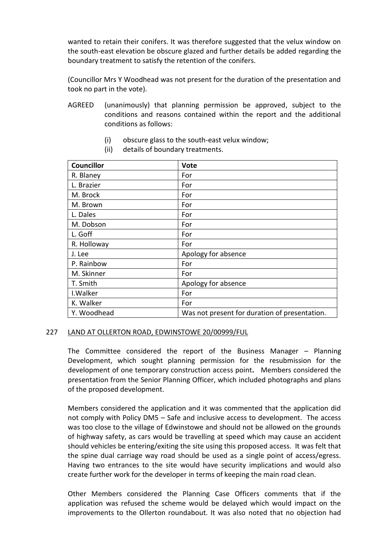wanted to retain their conifers. It was therefore suggested that the velux window on the south-east elevation be obscure glazed and further details be added regarding the boundary treatment to satisfy the retention of the conifers.

(Councillor Mrs Y Woodhead was not present for the duration of the presentation and took no part in the vote).

- AGREED (unanimously) that planning permission be approved, subject to the conditions and reasons contained within the report and the additional conditions as follows:
	- (i) obscure glass to the south-east velux window;
	- (ii) details of boundary treatments.

| <b>Councillor</b> | <b>Vote</b>                                   |
|-------------------|-----------------------------------------------|
| R. Blaney         | For                                           |
| L. Brazier        | For                                           |
| M. Brock          | For                                           |
| M. Brown          | For                                           |
| L. Dales          | For                                           |
| M. Dobson         | For                                           |
| L. Goff           | For                                           |
| R. Holloway       | For                                           |
| J. Lee            | Apology for absence                           |
| P. Rainbow        | For                                           |
| M. Skinner        | For                                           |
| T. Smith          | Apology for absence                           |
| I. Walker         | For                                           |
| K. Walker         | For                                           |
| Y. Woodhead       | Was not present for duration of presentation. |

### 227 LAND AT OLLERTON ROAD, EDWINSTOWE 20/00999/FUL

The Committee considered the report of the Business Manager – Planning Development, which sought planning permission for the resubmission for the development of one temporary construction access point**.** Members considered the presentation from the Senior Planning Officer, which included photographs and plans of the proposed development.

Members considered the application and it was commented that the application did not comply with Policy DM5 – Safe and inclusive access to development. The access was too close to the village of Edwinstowe and should not be allowed on the grounds of highway safety, as cars would be travelling at speed which may cause an accident should vehicles be entering/exiting the site using this proposed access. It was felt that the spine dual carriage way road should be used as a single point of access/egress. Having two entrances to the site would have security implications and would also create further work for the developer in terms of keeping the main road clean.

Other Members considered the Planning Case Officers comments that if the application was refused the scheme would be delayed which would impact on the improvements to the Ollerton roundabout. It was also noted that no objection had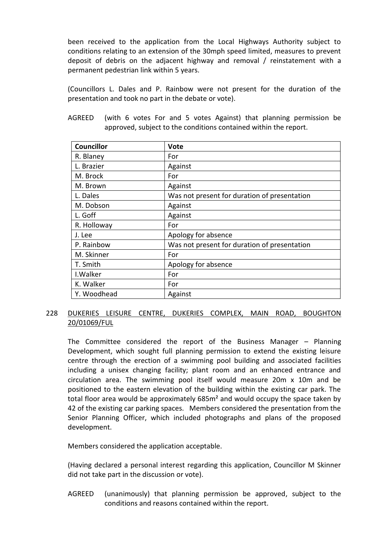been received to the application from the Local Highways Authority subject to conditions relating to an extension of the 30mph speed limited, measures to prevent deposit of debris on the adjacent highway and removal / reinstatement with a permanent pedestrian link within 5 years.

(Councillors L. Dales and P. Rainbow were not present for the duration of the presentation and took no part in the debate or vote).

AGREED (with 6 votes For and 5 votes Against) that planning permission be approved, subject to the conditions contained within the report.

| <b>Councillor</b> | <b>Vote</b>                                  |
|-------------------|----------------------------------------------|
| R. Blaney         | For                                          |
| L. Brazier        | Against                                      |
| M. Brock          | For                                          |
| M. Brown          | Against                                      |
| L. Dales          | Was not present for duration of presentation |
| M. Dobson         | Against                                      |
| L. Goff           | Against                                      |
| R. Holloway       | For                                          |
| J. Lee            | Apology for absence                          |
| P. Rainbow        | Was not present for duration of presentation |
| M. Skinner        | For                                          |
| T. Smith          | Apology for absence                          |
| I. Walker         | For                                          |
| K. Walker         | For                                          |
| Y. Woodhead       | Against                                      |

# 228 DUKERIES LEISURE CENTRE, DUKERIES COMPLEX, MAIN ROAD, BOUGHTON 20/01069/FUL

The Committee considered the report of the Business Manager – Planning Development, which sought full planning permission to extend the existing leisure centre through the erection of a swimming pool building and associated facilities including a unisex changing facility; plant room and an enhanced entrance and circulation area. The swimming pool itself would measure 20m x 10m and be positioned to the eastern elevation of the building within the existing car park. The total floor area would be approximately 685m² and would occupy the space taken by 42 of the existing car parking spaces. Members considered the presentation from the Senior Planning Officer, which included photographs and plans of the proposed development.

Members considered the application acceptable.

(Having declared a personal interest regarding this application, Councillor M Skinner did not take part in the discussion or vote).

AGREED (unanimously) that planning permission be approved, subject to the conditions and reasons contained within the report.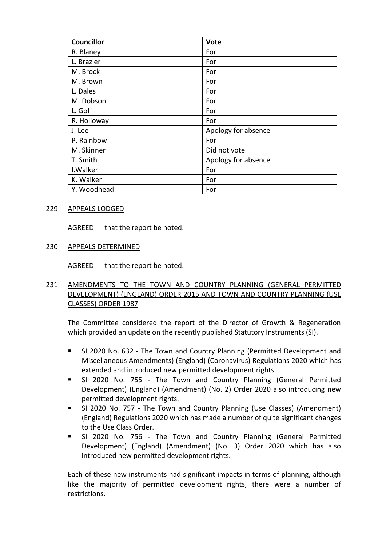| <b>Councillor</b> | Vote                |
|-------------------|---------------------|
| R. Blaney         | For                 |
| L. Brazier        | For                 |
| M. Brock          | For                 |
| M. Brown          | For                 |
| L. Dales          | For                 |
| M. Dobson         | For                 |
| L. Goff           | For                 |
| R. Holloway       | For                 |
| J. Lee            | Apology for absence |
| P. Rainbow        | For                 |
| M. Skinner        | Did not vote        |
| T. Smith          | Apology for absence |
| I. Walker         | For                 |
| K. Walker         | For                 |
| Y. Woodhead       | For                 |

## 229 APPEALS LODGED

AGREED that the report be noted.

### 230 APPEALS DETERMINED

AGREED that the report be noted.

# 231 AMENDMENTS TO THE TOWN AND COUNTRY PLANNING (GENERAL PERMITTED DEVELOPMENT) (ENGLAND) ORDER 2015 AND TOWN AND COUNTRY PLANNING (USE CLASSES) ORDER 1987

The Committee considered the report of the Director of Growth & Regeneration which provided an update on the recently published Statutory Instruments (SI).

- SI 2020 No. 632 The Town and Country Planning (Permitted Development and Miscellaneous Amendments) (England) (Coronavirus) Regulations 2020 which has extended and introduced new permitted development rights.
- SI 2020 No. 755 The Town and Country Planning (General Permitted Development) (England) (Amendment) (No. 2) Order 2020 also introducing new permitted development rights.
- SI 2020 No. 757 The Town and Country Planning (Use Classes) (Amendment) (England) Regulations 2020 which has made a number of quite significant changes to the Use Class Order.
- SI 2020 No. 756 The Town and Country Planning (General Permitted Development) (England) (Amendment) (No. 3) Order 2020 which has also introduced new permitted development rights.

Each of these new instruments had significant impacts in terms of planning, although like the majority of permitted development rights, there were a number of restrictions.